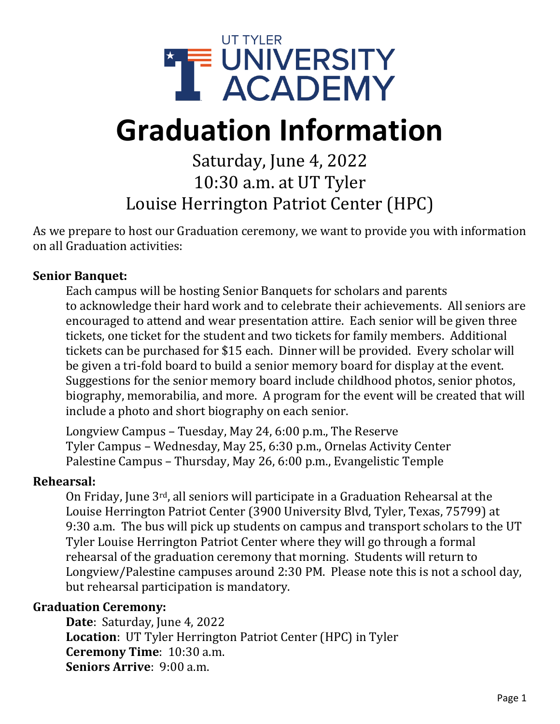

# **Graduation Information**

## Saturday, June 4, 2022 10:30 a.m. at UT Tyler Louise Herrington Patriot Center (HPC)

As we prepare to host our Graduation ceremony, we want to provide you with information on all Graduation activities:

#### **Senior Banquet:**

Each campus will be hosting Senior Banquets for scholars and parents to acknowledge their hard work and to celebrate their achievements. All seniors are encouraged to attend and wear presentation attire. Each senior will be given three tickets, one ticket for the student and two tickets for family members. Additional tickets can be purchased for \$15 each. Dinner will be provided. Every scholar will be given a tri-fold board to build a senior memory board for display at the event. Suggestions for the senior memory board include childhood photos, senior photos, biography, memorabilia, and more. A program for the event will be created that will include a photo and short biography on each senior.

Longview Campus – Tuesday, May 24, 6:00 p.m., The Reserve Tyler Campus – Wednesday, May 25, 6:30 p.m., Ornelas Activity Center Palestine Campus – Thursday, May 26, 6:00 p.m., Evangelistic Temple

#### **Rehearsal:**

On Friday, June 3rd, all seniors will participate in a Graduation Rehearsal at the Louise Herrington Patriot Center (3900 University Blvd, Tyler, Texas, 75799) at 9:30 a.m. The bus will pick up students on campus and transport scholars to the UT Tyler Louise Herrington Patriot Center where they will go through a formal rehearsal of the graduation ceremony that morning. Students will return to Longview/Palestine campuses around 2:30 PM. Please note this is not a school day, but rehearsal participation is mandatory.

#### **Graduation Ceremony:**

**Date**: Saturday, June 4, 2022 **Location**: UT Tyler Herrington Patriot Center (HPC) in Tyler **Ceremony Time**: 10:30 a.m. **Seniors Arrive**: 9:00 a.m.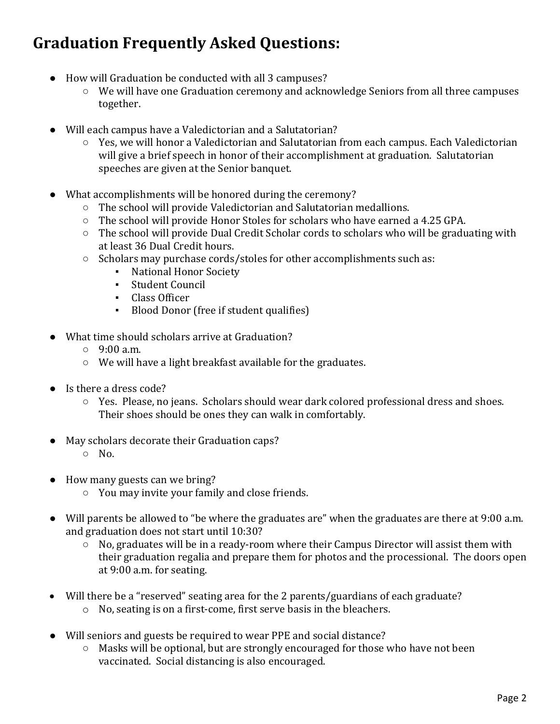## **Graduation Frequently Asked Questions:**

- How will Graduation be conducted with all 3 campuses?
	- We will have one Graduation ceremony and acknowledge Seniors from all three campuses together.
- Will each campus have a Valedictorian and a Salutatorian?
	- Yes, we will honor a Valedictorian and Salutatorian from each campus. Each Valedictorian will give a brief speech in honor of their accomplishment at graduation. Salutatorian speeches are given at the Senior banquet.
- What accomplishments will be honored during the ceremony?
	- The school will provide Valedictorian and Salutatorian medallions.
	- The school will provide Honor Stoles for scholars who have earned a 4.25 GPA.
	- The school will provide Dual Credit Scholar cords to scholars who will be graduating with at least 36 Dual Credit hours.
	- Scholars may purchase cords/stoles for other accomplishments such as:
		- National Honor Society
		- Student Council
		- Class Officer
		- Blood Donor (free if student qualifies)
- What time should scholars arrive at Graduation?
	- $0.9:00$  a.m.
	- We will have a light breakfast available for the graduates.
- Is there a dress code?
	- Yes. Please, no jeans. Scholars should wear dark colored professional dress and shoes. Their shoes should be ones they can walk in comfortably.
- May scholars decorate their Graduation caps?
	- $\circ$  No.
- How many guests can we bring?
	- You may invite your family and close friends.
- Will parents be allowed to "be where the graduates are" when the graduates are there at 9:00 a.m. and graduation does not start until 10:30?
	- No, graduates will be in a ready-room where their Campus Director will assist them with their graduation regalia and prepare them for photos and the processional. The doors open at 9:00 a.m. for seating.
- Will there be a "reserved" seating area for the 2 parents/guardians of each graduate?
	- o No, seating is on a first-come, first serve basis in the bleachers.
- Will seniors and guests be required to wear PPE and social distance?
	- Masks will be optional, but are strongly encouraged for those who have not been vaccinated. Social distancing is also encouraged.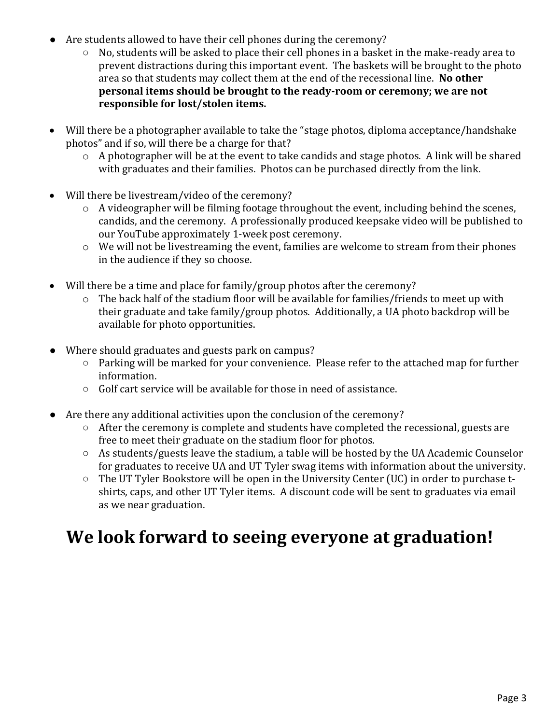- Are students allowed to have their cell phones during the ceremony?
	- No, students will be asked to place their cell phones in a basket in the make-ready area to prevent distractions during this important event. The baskets will be brought to the photo area so that students may collect them at the end of the recessional line. **No other personal items should be brought to the ready-room or ceremony; we are not responsible for lost/stolen items.**
- Will there be a photographer available to take the "stage photos, diploma acceptance/handshake photos" and if so, will there be a charge for that?
	- o A photographer will be at the event to take candids and stage photos. A link will be shared with graduates and their families. Photos can be purchased directly from the link.
- Will there be livestream/video of the ceremony?
	- o A videographer will be filming footage throughout the event, including behind the scenes, candids, and the ceremony. A professionally produced keepsake video will be published to our YouTube approximately 1-week post ceremony.
	- o We will not be livestreaming the event, families are welcome to stream from their phones in the audience if they so choose.
- Will there be a time and place for family/group photos after the ceremony?
	- o The back half of the stadium floor will be available for families/friends to meet up with their graduate and take family/group photos. Additionally, a UA photo backdrop will be available for photo opportunities.
- Where should graduates and guests park on campus?
	- Parking will be marked for your convenience. Please refer to the attached map for further information.
	- Golf cart service will be available for those in need of assistance.
- Are there any additional activities upon the conclusion of the ceremony?
	- After the ceremony is complete and students have completed the recessional, guests are free to meet their graduate on the stadium floor for photos.
	- As students/guests leave the stadium, a table will be hosted by the UA Academic Counselor for graduates to receive UA and UT Tyler swag items with information about the university.
	- The UT Tyler Bookstore will be open in the University Center (UC) in order to purchase tshirts, caps, and other UT Tyler items. A discount code will be sent to graduates via email as we near graduation.

## **We look forward to seeing everyone at graduation!**